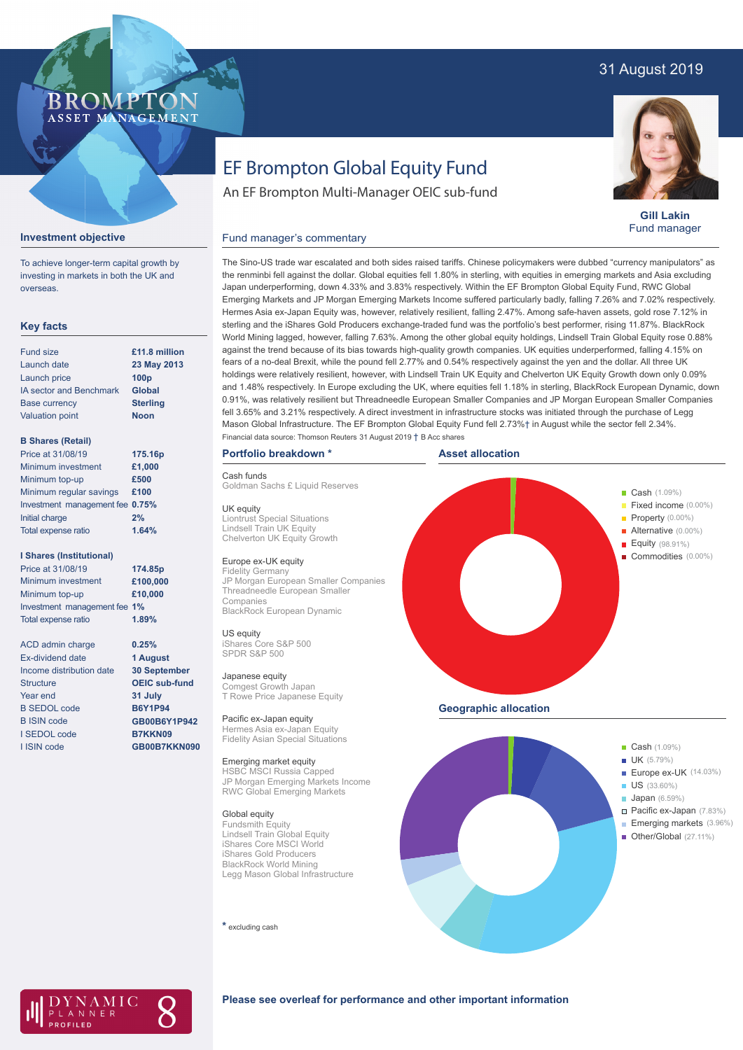# 31 August 2019

# **BROMP** ASSET MANAGEMENT

# EF Brompton Global Equity Fund

An EF Brompton Multi-Manager OEIC sub-fund



**Gill Lakin** Fund manager

#### Fund manager's commentary



To achieve longer-term capital growth by investing in markets in both the UK and overseas.

## **Key facts**

| <b>Fund size</b>               | £11.8 million    |
|--------------------------------|------------------|
| Launch date                    | 23 May 2013      |
| Launch price                   | 100 <sub>p</sub> |
| <b>IA sector and Benchmark</b> | <b>Global</b>    |
| <b>Base currency</b>           | <b>Sterling</b>  |
| <b>Valuation point</b>         | <b>Noon</b>      |
|                                |                  |

#### **B Shares (Retail)**

| Price at 31/08/19               | 175.16p |
|---------------------------------|---------|
| Minimum investment              | £1,000  |
| Minimum top-up                  | £500    |
| Minimum regular savings         | £100    |
| Investment management fee 0.75% |         |
| Initial charge                  | 2%      |
| Total expense ratio             | 1.64%   |
|                                 |         |

#### **I Shares (Institutional)**

Minimum investment Minimum top-up Investment management fee **1%** Total expense ratio **£100,000 £10,000** Price at 31/08/19 **174.85p 1.89%**

ACD admin charge Ex-dividend date Income distribution date Structure Year end B SEDOL code B ISIN code I SEDOL code I ISIN code

**0.25% 1 August 30 September OEIC sub-fund 31 July B6Y1P94 GB00B6Y1P942 B7KKN09 GB00B7KKN090**

Japan underperforming, down 4.33% and 3.83% respectively. Within the EF Brompton Global Equity Fund, RWC Global Emerging Markets and JP Morgan Emerging Markets Income suffered particularly badly, falling 7.26% and 7.02% respectively. Hermes Asia ex-Japan Equity was, however, relatively resilient, falling 2.47%. Among safe-haven assets, gold rose 7.12% in sterling and the iShares Gold Producers exchange-traded fund was the portfolio's best performer, rising 11.87%. BlackRock World Mining lagged, however, falling 7.63%. Among the other global equity holdings, Lindsell Train Global Equity rose 0.88% against the trend because of its bias towards high-quality growth companies. UK equities underperformed, falling 4.15% on fears of a no-deal Brexit, while the pound fell 2.77% and 0.54% respectively against the yen and the dollar. All three UK holdings were relatively resilient, however, with Lindsell Train UK Equity and Chelverton UK Equity Growth down only 0.09% and 1.48% respectively. In Europe excluding the UK, where equities fell 1.18% in sterling, BlackRock European Dynamic, down 0.91%, was relatively resilient but Threadneedle European Smaller Companies and JP Morgan European Smaller Companies fell 3.65% and 3.21% respectively. A direct investment in infrastructure stocks was initiated through the purchase of Legg Mason Global Infrastructure. The EF Brompton Global Equity Fund fell 2.73%† in August while the sector fell 2.34%. Financial data source: Thomson Reuters 31 August 2019 † B Acc shares

The Sino-US trade war escalated and both sides raised tariffs. Chinese policymakers were dubbed "currency manipulators" as the renminbi fell against the dollar. Global equities fell 1.80% in sterling, with equities in emerging markets and Asia excluding

### **Portfolio breakdown \***

Cash funds

Goldman Sachs £ Liquid Reserves

UK equity

Liontrust Special Situations Lindsell Train UK Equity Chelverton UK Equity Growth

## Europe ex-UK equity

Fidelity Germany JP Morgan European Smaller Companies Threadneedle European Smaller Companies BlackRock European Dynamic

#### US equity iShares Core S&P 500

SPDR S&P 500

Japanese equity Comgest Growth Japan T Rowe Price Japanese Equity

Pacific ex-Japan equity Hermes Asia ex-Japan Equity Fidelity Asian Special Situations

Emerging market equity HSBC MSCI Russia Capped JP Morgan Emerging Markets Income RWC Global Emerging Markets

#### Global equity

Fundsmith Equity Lindsell Train Global Equity iShares Core MSCI World iShares Gold Producers BlackRock World Mining Legg Mason Global Infrastructure

**\*** excluding cash



 $\blacksquare$  US (33.60%)

- **Japan** (6.59%)
	- Pacific ex-Japan (7.83%) Emerging markets (3.96%)
- De Cher/Global (27.11%) → Cther/Global (27.11%)



#### **Please see overleaf for performance and other important information**